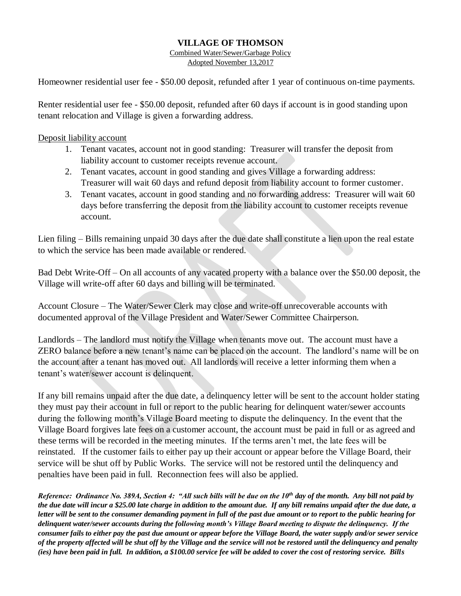## **VILLAGE OF THOMSON**

Combined Water/Sewer/Garbage Policy Adopted November 13,2017

Homeowner residential user fee - \$50.00 deposit, refunded after 1 year of continuous on-time payments.

Renter residential user fee - \$50.00 deposit, refunded after 60 days if account is in good standing upon tenant relocation and Village is given a forwarding address.

Deposit liability account

- 1. Tenant vacates, account not in good standing: Treasurer will transfer the deposit from liability account to customer receipts revenue account.
- 2. Tenant vacates, account in good standing and gives Village a forwarding address: Treasurer will wait 60 days and refund deposit from liability account to former customer.
- 3. Tenant vacates, account in good standing and no forwarding address: Treasurer will wait 60 days before transferring the deposit from the liability account to customer receipts revenue account.

Lien filing – Bills remaining unpaid 30 days after the due date shall constitute a lien upon the real estate to which the service has been made available or rendered.

Bad Debt Write-Off – On all accounts of any vacated property with a balance over the \$50.00 deposit, the Village will write-off after 60 days and billing will be terminated.

Account Closure – The Water/Sewer Clerk may close and write-off unrecoverable accounts with documented approval of the Village President and Water/Sewer Committee Chairperson.

Landlords – The landlord must notify the Village when tenants move out. The account must have a ZERO balance before a new tenant's name can be placed on the account. The landlord's name will be on the account after a tenant has moved out. All landlords will receive a letter informing them when a tenant's water/sewer account is delinquent.

If any bill remains unpaid after the due date, a delinquency letter will be sent to the account holder stating they must pay their account in full or report to the public hearing for delinquent water/sewer accounts during the following month's Village Board meeting to dispute the delinquency. In the event that the Village Board forgives late fees on a customer account, the account must be paid in full or as agreed and these terms will be recorded in the meeting minutes. If the terms aren't met, the late fees will be reinstated. If the customer fails to either pay up their account or appear before the Village Board, their service will be shut off by Public Works. The service will not be restored until the delinquency and penalties have been paid in full. Reconnection fees will also be applied.

*Reference: Ordinance No. 389A, Section 4: "All such bills will be due on the 10th day of the month. Any bill not paid by the due date will incur a \$25.00 late charge in addition to the amount due. If any bill remains unpaid after the due date, a letter will be sent to the consumer demanding payment in full of the past due amount or to report to the public hearing for delinquent water/sewer accounts during the following month's Village Board meeting to dispute the delinquency. If the consumer fails to either pay the past due amount or appear before the Village Board, the water supply and/or sewer service of the property affected will be shut off by the Village and the service will not be restored until the delinquency and penalty (ies) have been paid in full. In addition, a \$100.00 service fee will be added to cover the cost of restoring service. Bills*